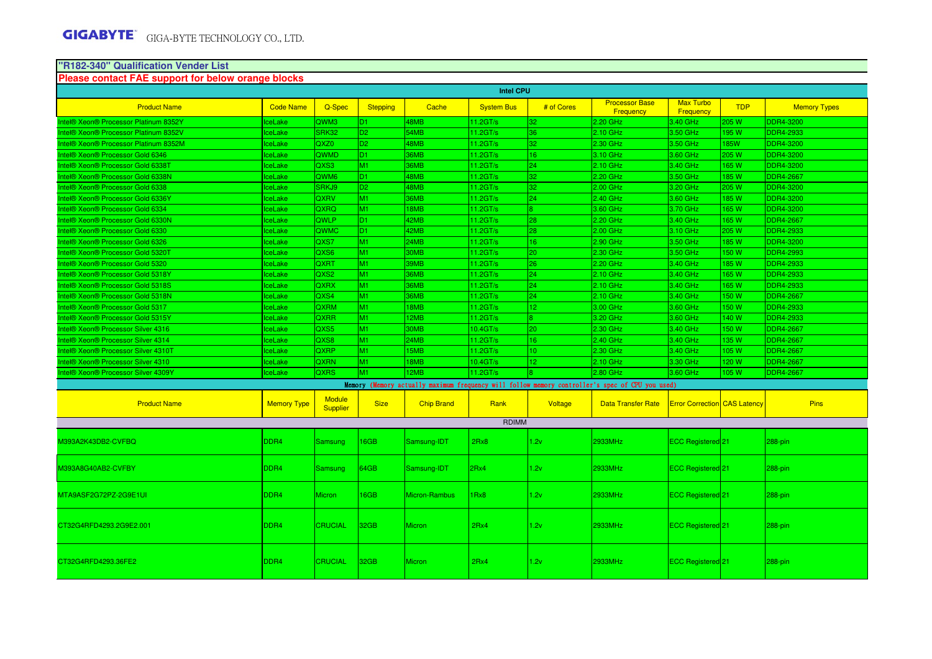# **"R182-340" Qualification Vender List Please contact FAE support for below orange blocks**

|                                       |                    |                                  |                 |                   | <b>Intel CPU</b>  |                 |                                                                                                 |                                     |              |                     |
|---------------------------------------|--------------------|----------------------------------|-----------------|-------------------|-------------------|-----------------|-------------------------------------------------------------------------------------------------|-------------------------------------|--------------|---------------------|
| <b>Product Name</b>                   | <b>Code Name</b>   | Q-Spec                           | <b>Stepping</b> | Cache             | <b>System Bus</b> | # of Cores      | <b>Processor Base</b><br>Frequency                                                              | <b>Max Turbo</b><br>Frequency       | <b>TDP</b>   | <b>Memory Types</b> |
| ntel® Xeon® Processor Platinum 8352Y  | ceLake             | QWM3                             | D <sub>1</sub>  | 48MB              | 11.2GT/s          | 32.             | 2.20 GHz                                                                                        | 3.40 GHz                            | 205 W        | <b>DDR4-3200</b>    |
| Intel® Xeon® Processor Platinum 8352V | ceLake             | SRK32                            | D <sub>2</sub>  | 54MB              | 11.2GT/s          | 36              | 2.10 GHz                                                                                        | 3.50 GHz                            | 195 W        | <b>DDR4-2933</b>    |
| Intel® Xeon® Processor Platinum 8352M | ceLake             | QXZ0                             | D <sub>2</sub>  | 48MB              | 11.2GT/s          | 32              | 2.30 GHz                                                                                        | 3.50 GHz                            | <b>85W</b>   | <b>DDR4-3200</b>    |
| Intel® Xeon® Processor Gold 6346      | ceLake             | QWMD                             | D <sub>1</sub>  | 36MB              | $11.2$ GT/s       | 16              | 3.10 GHz                                                                                        | 3.60 GHz                            | <b>205 W</b> | <b>DDR4-3200</b>    |
| Intel® Xeon® Processor Gold 6338T     | ceLake             | QXS3                             | M <sub>1</sub>  | 36MB              | 11.2GT/s          | 24              | 2.10 GHz                                                                                        | 3.40 GHz                            | 165 W        | <b>DDR4-3200</b>    |
| Intel® Xeon® Processor Gold 6338N     | ceLake             | QWM <sub>6</sub>                 | D <sub>1</sub>  | 48MB              | 11.2GT/s          | 32              | 2.20 GHz                                                                                        | 3.50 GHz                            | 85W          | <b>DDR4-2667</b>    |
| ntel® Xeon® Processor Gold 6338       | ceLake             | SRKJ9                            | D <sub>2</sub>  | 48MB              | 11.2GT/s          | 32              | 2.00 GHz                                                                                        | 3.20 GHz                            | 205 W        | <b>DDR4-3200</b>    |
| Intel® Xeon® Processor Gold 6336Y     | ceLake             | <b>QXRV</b>                      | M <sub>1</sub>  | <b>36MB</b>       | 11.2GT/s          | 24              | 2.40 GHz                                                                                        | 3.60 GHz                            | 185 W        | <b>DDR4-3200</b>    |
| Intel® Xeon® Processor Gold 6334      | ceLake             | QXRQ                             | M <sub>1</sub>  | 18MB              | 11.2GT/s          | 8.              | 3.60 GHz                                                                                        | 3.70 GHz                            | 165 W        | <b>DDR4-3200</b>    |
| Intel® Xeon® Processor Gold 6330N     | ceLake             | QWLP                             | D <sub>1</sub>  | 42MB              | 11.2GT/s          | 28              | 2.20 GHz                                                                                        | 3.40 GHz                            | 65W          | <b>DDR4-2667</b>    |
| Intel® Xeon® Processor Gold 6330      | ceLake             | QWMC                             | D <sub>1</sub>  | 42MB              | 11.2GT/s          | 28.             | 2.00 GHz                                                                                        | 3.10 GHz                            | 205 W        | <b>DDR4-2933</b>    |
| Intel® Xeon® Processor Gold 6326      | ceLake             | QXS7                             | M <sub>1</sub>  | 24MB              | 11.2GT/s          | 16              | 2.90 GHz                                                                                        | 3.50 GHz                            | 85W          | <b>DDR4-3200</b>    |
| Intel® Xeon® Processor Gold 5320T     | ceLake             | QXS6                             | M <sub>1</sub>  | <b>30MB</b>       | 11.2GT/s          | 20 <sub>2</sub> | 2.30 GHz                                                                                        | 3.50 GHz                            | 150 W        | <b>DDR4-2993</b>    |
| Intel® Xeon® Processor Gold 5320      | ceLake             | <b>QXRT</b>                      | M <sub>1</sub>  | 39MB              | 11.2GT/s          | 26              | 2.20 GHz                                                                                        | 3.40 GHz                            | 85W          | <b>DDR4-2933</b>    |
| ntel® Xeon® Processor Gold 5318Y      | ceLake             | QXS <sub>2</sub>                 | M <sub>1</sub>  | 36MB              | 11.2GT/s          | 24              | $2.10$ GHz                                                                                      | 3.40 GHz                            | <b>165W</b>  | DDR4-2933           |
| Intel® Xeon® Processor Gold 5318S     | ceLake             | QXRX                             | M <sub>1</sub>  | 36MB              | 11.2GT/s          | 24              | 2.10 GHz                                                                                        | 3.40 GHz                            | 165 W        | <b>DDR4-2933</b>    |
| Intel® Xeon® Processor Gold 5318N     | ceLake             | QXS4                             | M <sub>1</sub>  | 36MB              | 11.2GT/s          | 24.             | 2.10 GHz                                                                                        | 3.40 GHz                            | 150 W        | <b>DDR4-2667</b>    |
| Intel® Xeon® Processor Gold 5317      | ceLake             | <b>QXRM</b>                      | M <sub>1</sub>  | 18MB              | 11.2GT/s          | $\overline{2}$  | 3.00 GHz                                                                                        | 3.60 GHz                            | 50 W         | <b>DDR4-2933</b>    |
| ntel® Xeon® Processor Gold 5315Y      | ceLake             | <b>QXRR</b>                      | M <sub>1</sub>  | 12MB              | 11.2GT/s          |                 | 3.20 GHz                                                                                        | 3.60 GHz                            | 40 W         | <b>DDR4-2933</b>    |
| Intel® Xeon® Processor Silver 4316    | ceLake             | QXS5                             | M <sub>1</sub>  | 30MB              | 10.4GT/s          | 20 <sub>2</sub> | 2.30 GHz                                                                                        | 3.40 GHz                            | 50 W         | <b>DDR4-2667</b>    |
| Intel® Xeon® Processor Silver 4314    | ceLake             | QXS8                             | M <sub>1</sub>  | 24MB              | 11.2GT/s          | 16              | 2.40 GHz                                                                                        | 3.40 GHz                            | 35 W         | <b>DDR4-2667</b>    |
| ntel® Xeon® Processor Silver 4310T    | ceLake             | QXRP                             | M1              | 15MB              | 11.2GT/s          | $\overline{0}$  | 2.30 GHz                                                                                        | 3.40 GHz                            | 05W          | <b>DDR4-2667</b>    |
| ntel® Xeon® Processor Silver 4310     | ceLake             | <b>QXRN</b>                      | M <sub>1</sub>  | 18MB              | 10.4GT/s          | 12.             | 2.10 GHz                                                                                        | 3.30 GHz                            | 20 W         | <b>DDR4-2667</b>    |
| ntel® Xeon® Processor Silver 4309Y    | ceLake             | <b>QXRS</b>                      | M <sub>1</sub>  | 12MB              | 11.2GT/s          |                 | 2.80 GHz                                                                                        | 3.60 GHz                            | 105 W        | <b>DDR4-2667</b>    |
|                                       |                    |                                  |                 |                   |                   |                 | Memory (Memory actually maximum frequency will follow memory controller's spec of CPU you used) |                                     |              |                     |
| <b>Product Name</b>                   | <b>Memory Type</b> | <b>Module</b><br><b>Supplier</b> | <b>Size</b>     | <b>Chip Brand</b> | Rank              | Voltage         | <b>Data Transfer Rate</b>                                                                       | <b>Error Correction CAS Latency</b> |              | <b>Pins</b>         |
|                                       |                    |                                  |                 |                   | <b>RDIMM</b>      |                 |                                                                                                 |                                     |              |                     |
| M393A2K43DB2-CVFBQ                    | DDR4               | <b>Samsung</b>                   | 16GB            | Samsung-IDT       | 2Rx8              | 1.2v            | <b>2933MHz</b>                                                                                  | ECC Registered 21                   |              | 288-pin             |
| M393A8G40AB2-CVFBY                    | DDR4               | <b>Samsung</b>                   | 64GB            | Samsung-IDT       | 2Rx4              | 1.2v            | 2933MHz                                                                                         | ECC Registered 21                   |              | 288-pin             |
| MTA9ASF2G72PZ-2G9E1UI                 | DDR4               | <b>Micron</b>                    | 16GB            | Micron-Rambus     | 1Rx8              | 1.2v            | <b>2933MHz</b>                                                                                  | ECC Registered <sup>[21]</sup>      |              | 288-pin             |
| CT32G4RFD4293.2G9E2.001               | DDR4               | <b>CRUCIAL</b>                   | 32GB            | Micron            | 2Rx4              | 1.2v            | 2933MHz                                                                                         | <b>ECC Registered</b> 21            |              | 288-pin             |
| CT32G4RFD4293.36FE2                   | DDR4               | <b>CRUCIAL</b>                   | 32GB            | <b>Micron</b>     | 2Rx4              | 1.2v            | 2933MHz                                                                                         | <b>ECC Registered</b> 21            |              | 288-pin             |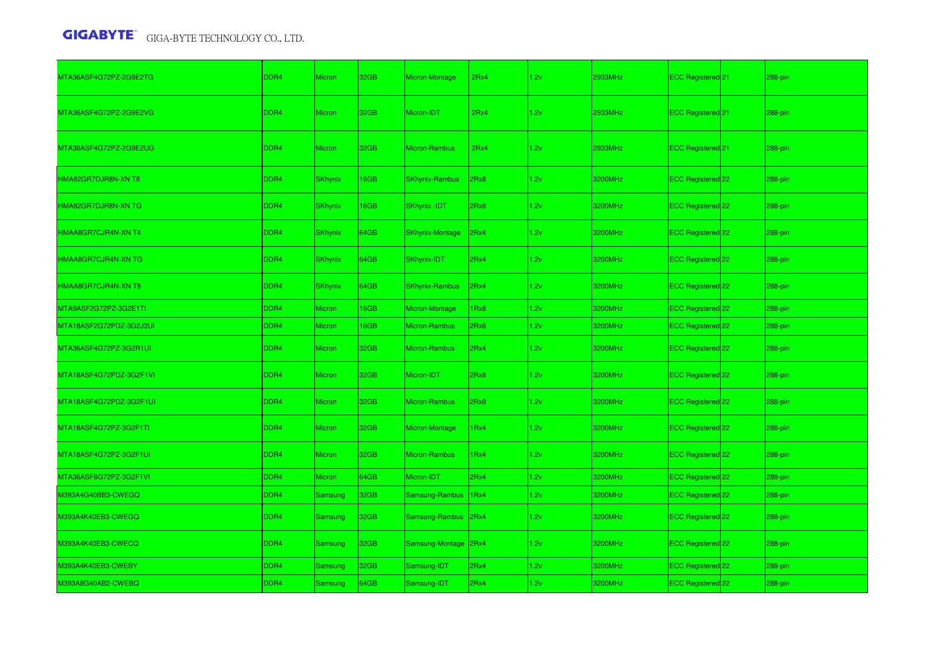| MTA36ASF4G72PZ-2G9E2TG  | DDR4 | <b>Micron</b>  | 32GB        | Micron-Montage         | 2Rx4             | 1.2v | 2933MHz | ECC Registered <sup>21</sup> | 288-pin |
|-------------------------|------|----------------|-------------|------------------------|------------------|------|---------|------------------------------|---------|
| MTA36ASF4G72PZ-2G9E2VG  | DDR4 | <b>Micron</b>  | 32GB        | Micron-IDT             | 2Rx4             | 1.2v | 2933MHz | ECC Registered 21            | 288-pin |
| MTA36ASF4G72PZ-2G9E2UG  | DDR4 | <b>Micron</b>  | 32GB        | <b>Micron-Rambus</b>   | 2Rx4             | 1.2v | 2933MHz | ECC Registered 21            | 288-pin |
| HMA82GR7DJR8N-XN T8     | DDR4 | <b>SKhynix</b> | 16GB        | <b>SKhynix-Rambus</b>  | 2Rx8             | 1.2v | 3200MHz | ECC Registered 22            | 288-pin |
| HMA82GR7DJR8N-XN TG     | DDR4 | <b>SKhynix</b> | <b>I6GB</b> | <b>SKhynix-IDT</b>     | 2Rx8             | 1.2v | 3200MHz | ECC Registered 22            | 288-pin |
| HMAA8GR7CJR4N-XN T4     | DDR4 | <b>SKhynix</b> | 64GB        | <b>SKhynix-Montage</b> | 2Rx4             | 1.2v | 3200MHz | ECC Registered 22            | 288-pin |
| HMAA8GR7CJR4N-XN TG     | DDR4 | <b>SKhynix</b> | 64GB        | SKhynix-IDT            | 2Rx4             | 1.2v | 3200MHz | ECC Registered 22            | 288-pin |
| HMAA8GR7CJR4N-XN T8     | DDR4 | <b>SKhynix</b> | 64GB        | <b>SKhynix-Rambus</b>  | 2Rx4             | 1.2v | 3200MHz | ECC Registered 22            | 288-pin |
| MTA9ASF2G72PZ-3G2E1TI   | DDR4 | Micron         | 16GB        | Micron-Montage         | Rx8              | 1.2v | 3200MHz | ECC Registered 22            | 288-pin |
| MTA18ASF2G72PDZ-3G2J3UI | DDR4 | <b>Micron</b>  | <b>I6GB</b> | Micron-Rambus          | Rx8              | 1.2v | 3200MHz | ECC Registered 22            | 288-pin |
| MTA36ASF4G72PZ-3G2R1UI  | DDR4 | Micron         | 32GB        | <b>Micron-Rambus</b>   | Rx4              | 1.2v | 3200MHz | ECC Registered 22            | 288-pin |
| MTA18ASF4G72PDZ-3G2F1VI | DDR4 | <b>Micron</b>  | 32GB        | Micron-IDT             | 2Rx8             | 1.2v | 3200MHz | ECC Registered 22            | 288-pin |
| MTA18ASF4G72PDZ-3G2F1UI | DDR4 | <b>Micron</b>  | 32GB        | Micron-Rambus          | Rx8              | 1.2v | 3200MHz | ECC Registered 22            | 288-pin |
| MTA18ASF4G72PZ-3G2F1TI  | DDR4 | <b>Micron</b>  | 32GB        | Micron-Montage         | Rx4              | 1.2v | 3200MHz | ECC Registered 22            | 288-pin |
| MTA18ASF4G72PZ-3G2F1UI  | DDR4 | <b>Micron</b>  | 32GB        | Micron-Rambus          | Rx4              | 1.2v | 3200MHz | ECC Registered 22            | 288-pin |
| MTA36ASF8G72PZ-3G2F1VI  | DDR4 | Micron         | 64GB        | Micron-IDT             | 2Rx4             | 1.2v | 3200MHz | ECC Registered 22            | 288-pin |
| M393A4G40BB3-CWEGQ      | DDR4 | Samsung        | 32GB        | Samsung-Rambus         | 1 <sub>Rx4</sub> | 1.2v | 3200MHz | ECC Registered 22            | 288-pin |
| M393A4K40EB3-CWEGQ      | DDR4 | Samsung        | 32GB        | Samsung-Rambus         | 2Rx4             | 1.2v | 3200MHz | ECC Registered 22            | 288-pin |
| M393A4K40EB3-CWECQ      | DDR4 | <b>Samsung</b> | 32GB        | Samsung-Montage        | 2Rx4             | 1.2v | 3200MHz | ECC Registered <sup>22</sup> | 288-pin |
| M393A4K40EB3-CWEBY      | DDR4 | <b>Samsung</b> | 32GB        | Samsung-IDT            | 2Rx4             | 1.2v | 3200MHz | ECC Registered 22            | 288-pin |
| M393A8G40AB2-CWEBQ      | DDR4 | Samsung        | 64GB        | Samsung-IDT            | 2Rx4             | 1.2v | 3200MHz | ECC Registered 22            | 288-pin |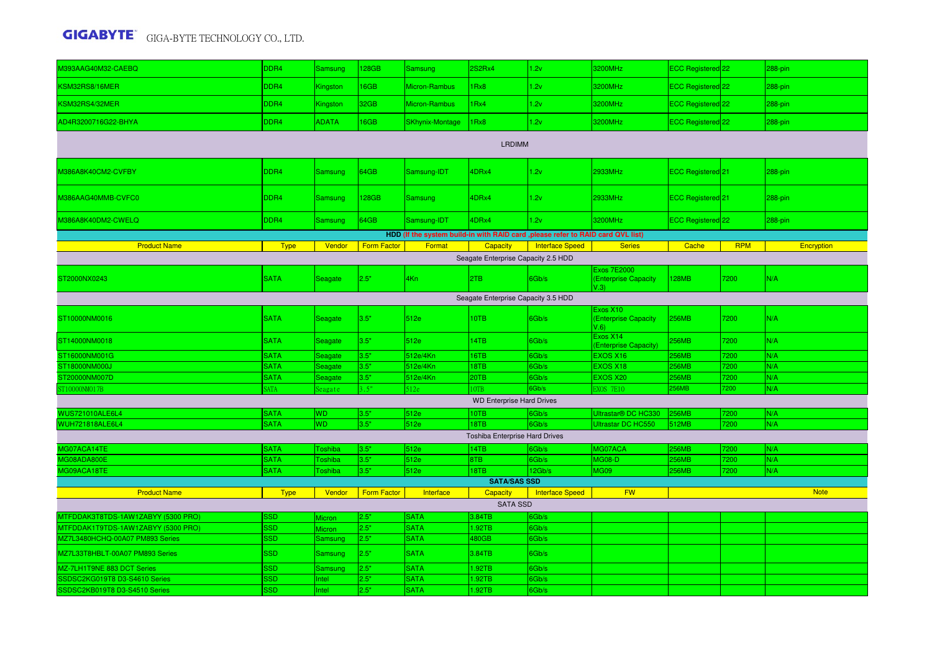| M393AAG40M32-CAEBQ                  | DDR4        | Samsung                   | <b>28GB</b>        | Samsung         | 2S2Rx4                                 | 1.2v                                                                             | 3200MHz                                            | ECC Registered 22            |              | 288-pin     |  |  |  |
|-------------------------------------|-------------|---------------------------|--------------------|-----------------|----------------------------------------|----------------------------------------------------------------------------------|----------------------------------------------------|------------------------------|--------------|-------------|--|--|--|
| KSM32RS8/16MER                      | DDR4        | Kingston                  | 6GB                | Micron-Rambus   | 1Rx8                                   | 1.2v                                                                             | 3200MHz                                            | ECC Registered 22            |              | 288-pin     |  |  |  |
| KSM32RS4/32MER                      | DDR4        | Kingston                  | 32GB               | Micron-Rambus   | 1Rx4                                   | 1.2v                                                                             | 3200MHz                                            | ECC Registered 22            |              | 288-pin     |  |  |  |
| AD4R3200716G22-BHYA                 | DDR4        | <b>ADATA</b>              | <b>I6GB</b>        | SKhynix-Montage | 1Rx8                                   | 1.2v                                                                             | 3200MHz                                            | ECC Registered 22            |              | 288-pin     |  |  |  |
| <b>LRDIMM</b>                       |             |                           |                    |                 |                                        |                                                                                  |                                                    |                              |              |             |  |  |  |
| M386A8K40CM2-CVFBY                  | DDR4        | <b>Samsung</b>            | 64GB               | Samsung-IDT     | 4DRx4                                  | 1.2v                                                                             | 2933MHz                                            | ECC Registered 21            |              | 288-pin     |  |  |  |
| M386AAG40MMB-CVFC0                  | DDR4        | Samsung                   | 128GB              | <b>Samsung</b>  | 4DRx4                                  | 1.2v                                                                             | 2933MHz                                            | ECC Registered <sup>21</sup> |              | 288-pin     |  |  |  |
| M386A8K40DM2-CWELQ                  | DDR4        | <b>Samsung</b>            | 64GB               | Samsung-IDT     | 4DRx4                                  | 1.2v                                                                             | 3200MHz                                            | ECC Registered 22            |              | 288-pin     |  |  |  |
|                                     |             |                           |                    |                 |                                        | HDD (If the system build-in with RAID card , please refer to RAID card QVL list) |                                                    |                              |              |             |  |  |  |
| <b>Product Name</b>                 | <b>Type</b> | Vendor                    | <b>Form Factor</b> | Format          | <b>Capacity</b>                        | <b>Interface Speed</b>                                                           | <b>Series</b>                                      | Cache                        | <b>RPM</b>   | Encryption  |  |  |  |
|                                     |             |                           |                    |                 | Seagate Enterprise Capacity 2.5 HDD    |                                                                                  |                                                    |                              |              |             |  |  |  |
| ST2000NX0243                        | <b>SATA</b> | Seagate                   | 2.5"               | 4Kn             | 2TB                                    | 6Gb/s                                                                            | <b>Exos 7E2000</b><br>(Enterprise Capacity<br>V.3) | <b>128MB</b>                 | 7200         | N/A         |  |  |  |
| Seagate Enterprise Capacity 3.5 HDD |             |                           |                    |                 |                                        |                                                                                  |                                                    |                              |              |             |  |  |  |
| ST10000NM0016                       | <b>SATA</b> | Seagate                   | 3.5"               | 512e            | 10TB                                   | 6Gb/s                                                                            | Exos X10<br>(Enterprise Capacity<br>$V.6$ )        | <b>256MB</b>                 | 7200         | N/A         |  |  |  |
| ST14000NM0018                       | <b>SATA</b> | Seagate                   | 3.5"               | 512e            | 14TB                                   | 6Gb/s                                                                            | Exos X14<br>(Enterprise Capacity)                  | 256MB                        | 7200         | N/A         |  |  |  |
| ST16000NM001G                       | <b>SATA</b> | Seagate                   | 3.5"               | 512e/4Kn        | 16TB                                   | 6Gb/s                                                                            | <b>EXOS X16</b>                                    | <b>256MB</b>                 | 200          | N/A         |  |  |  |
| ST18000NM000J                       | <b>SATA</b> | Seagate                   | 3.5"               | 512e/4Kn        | 18TB                                   | 6Gb/s                                                                            | <b>EXOS X18</b>                                    | <b>256MB</b>                 | 200          | N/A         |  |  |  |
| ST20000NM007D                       | <b>SATA</b> | Seagate                   | 3.5"               | 512e/4Kn        | 20TB                                   | 6Gb/s                                                                            | <b>EXOS X20</b>                                    | <b>256MB</b>                 | 200          | N/A         |  |  |  |
| ST10000NM017B                       | <b>ATA</b>  | eagate                    | .5"                | 512e            | 0TB                                    | 6Gb/s                                                                            | <b>EXOS 7E10</b>                                   | <b>256MB</b>                 | 200          | N/A         |  |  |  |
|                                     |             |                           |                    |                 | <b>WD Enterprise Hard Drives</b>       |                                                                                  |                                                    |                              |              |             |  |  |  |
| WUS721010ALE6L4                     | <b>SATA</b> | WD<br>WD                  | 3.5"<br>3.5"       | 512e            | 10TB                                   | 6Gb/s                                                                            | Ultrastar <sup>®</sup> DC HC330                    | <b>256MB</b>                 | 200          | N/A         |  |  |  |
| <b>WUH721818ALE6L4</b>              | <b>SATA</b> |                           |                    | 512e            | 18TB<br>Toshiba Enterprise Hard Drives | 6Gb/s                                                                            | Ultrastar DC HC550                                 | 512MB                        | 7200         | N/A         |  |  |  |
| MG07ACA14TE                         | <b>SATA</b> |                           |                    |                 | 14TB                                   | 6Gb/s                                                                            | MG07ACA                                            |                              |              |             |  |  |  |
| MG08ADA800E                         | <b>SATA</b> | Toshiba<br><b>Toshiba</b> | 3.5"<br>3.5"       | 512e<br>512e    | 8TB                                    | 6Gb/s                                                                            | MG08-D                                             | <b>256MB</b><br><b>256MB</b> | 7200<br>7200 | N/A<br>N/A  |  |  |  |
| MG09ACA18TE                         | <b>SATA</b> | <b>Toshiba</b>            | 3.5"               | 512e            | 18TB                                   | 12Gb/s                                                                           | <b>MG09</b>                                        | <b>256MB</b>                 | 200          | N/A         |  |  |  |
|                                     |             |                           |                    |                 | <b>SATA/SAS SSD</b>                    |                                                                                  |                                                    |                              |              |             |  |  |  |
| <b>Product Name</b>                 | <b>Type</b> | Vendor                    | <b>Form Factor</b> | Interface       | Capacity                               | <b>Interface Speed</b>                                                           | <b>FW</b>                                          |                              |              | <b>Note</b> |  |  |  |
|                                     |             |                           |                    |                 | <b>SATA SSD</b>                        |                                                                                  |                                                    |                              |              |             |  |  |  |
| MTFDDAK3T8TDS-1AW1ZABYY (5300 PRO)  | <b>SSD</b>  | Micron                    | 2.5"               | <b>SATA</b>     | 3.84TB                                 | 6Gb/s                                                                            |                                                    |                              |              |             |  |  |  |
| MTFDDAK1T9TDS-1AW1ZABYY (5300 PRO)  | <b>SSD</b>  | Micron                    | 2.5"               | <b>SATA</b>     | 1.92TB                                 | 6Gb/s                                                                            |                                                    |                              |              |             |  |  |  |
| MZ7L3480HCHQ-00A07 PM893 Series     | <b>SSD</b>  | <b>Samsung</b>            | 2.5"               | <b>SATA</b>     | 480GB                                  | 6Gb/s                                                                            |                                                    |                              |              |             |  |  |  |
| MZ7L33T8HBLT-00A07 PM893 Series     | <b>SSD</b>  | Samsung                   | 2.5"               | <b>SATA</b>     | 3.84TB                                 | 6Gb/s                                                                            |                                                    |                              |              |             |  |  |  |
| MZ-7LH1T9NE 883 DCT Series          | <b>SSD</b>  | Samsung                   | 2.5"               | <b>SATA</b>     | 1.92TB                                 | 6Gb/s                                                                            |                                                    |                              |              |             |  |  |  |
| SSDSC2KG019T8 D3-S4610 Series       | SSD         | ntel                      | 2.5"               | <b>SATA</b>     | 1.92TB                                 | 6Gb/s                                                                            |                                                    |                              |              |             |  |  |  |
| SSDSC2KB019T8 D3-S4510 Series       | <b>SSD</b>  | Intel                     | 2.5"               | <b>SATA</b>     | .92TB                                  | 6Gb/s                                                                            |                                                    |                              |              |             |  |  |  |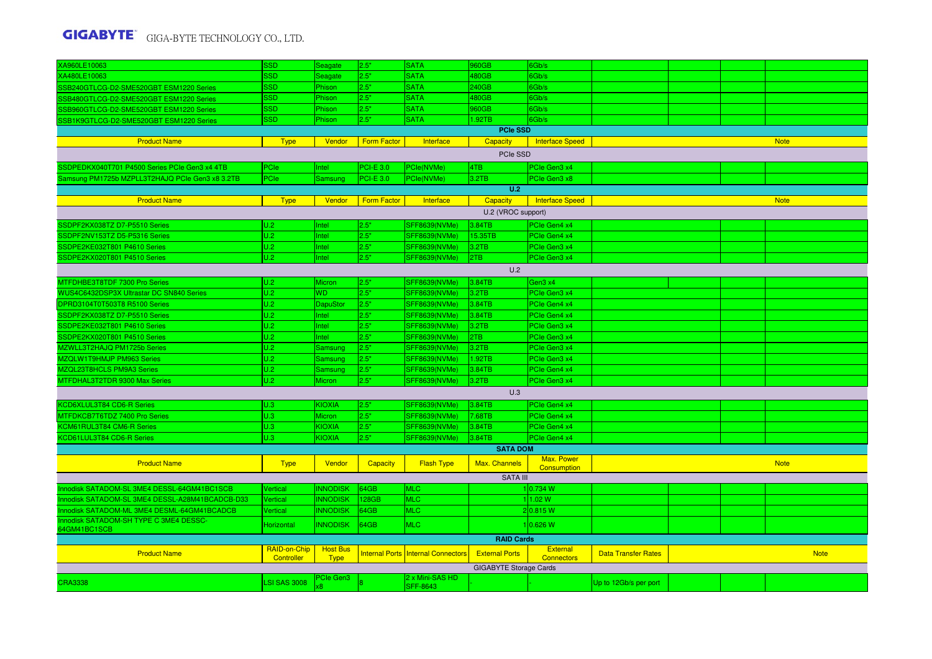| XA960LE10063                                    | <b>SSD</b>                 | Seagate                        | 2.5"               | <b>SATA</b>                               | 960GB                         | Gb/s                                 |                            |  |             |
|-------------------------------------------------|----------------------------|--------------------------------|--------------------|-------------------------------------------|-------------------------------|--------------------------------------|----------------------------|--|-------------|
| XA480LE10063                                    | SSD                        | Seagate                        | 2.5"               | <b>SATA</b>                               | 480GB                         | Gb/s                                 |                            |  |             |
| SB240GTLCG-D2-SME520GBT ESM1220 Series          | SSD                        | Phison                         | 2.5"               | <b>SATA</b>                               | 240GB                         | 3Gb/s                                |                            |  |             |
| SSB480GTLCG-D2-SME520GBT ESM1220 Series         | SSD                        | Phison                         | 2.5"               | <b>SATA</b>                               | 480GB                         | 6Gb/s                                |                            |  |             |
| SSB960GTLCG-D2-SME520GBT ESM1220 Series         | <b>SSD</b>                 | Phison                         | 2.5"               | <b>SATA</b>                               | 960GB                         | 6Gb/s                                |                            |  |             |
| SSB1K9GTLCG-D2-SME520GBT ESM1220 Series         | <b>SSD</b>                 | Phison                         | 2.5"               | <b>SATA</b>                               | 1.92TB                        | 6Gb/s                                |                            |  |             |
|                                                 |                            |                                |                    |                                           | <b>PCIe SSD</b>               |                                      |                            |  |             |
| <b>Product Name</b>                             | <b>Type</b>                | Vendor                         | <b>Form Factor</b> | Interface                                 | Capacity                      | Interface Speed                      |                            |  | <b>Note</b> |
|                                                 |                            |                                |                    |                                           | PCIe SSD                      |                                      |                            |  |             |
| SSDPEDKX040T701 P4500 Series PCIe Gen3 x4 4TB   | PCIe                       | Intel                          | $PCI-E$ 3.0        | PCle(NVMe)                                | 4TB                           | PCIe Gen3 x4                         |                            |  |             |
| Samsung PM1725b MZPLL3T2HAJQ PCIe Gen3 x8 3.2TB | PCIe                       | Samsung                        | $PCI-E$ 3.0        | PCle(NVMe)                                | 3.2TB                         | PCIe Gen3 x8                         |                            |  |             |
|                                                 |                            |                                |                    |                                           | U.2                           |                                      |                            |  |             |
| <b>Product Name</b>                             | <b>Type</b>                | Vendor                         | <b>Form Factor</b> | Interface                                 | <b>Capacity</b>               | <b>Interface Speed</b>               |                            |  | <b>Note</b> |
|                                                 |                            |                                |                    |                                           | U.2 (VROC support)            |                                      |                            |  |             |
| SSDPF2KX038TZ D7-P5510 Series                   | U.2                        | Intel                          | 2.5"               |                                           | 3.84TB                        | PCIe Gen4 x4                         |                            |  |             |
| SSDPF2NV153TZ D5-P5316 Series                   | U.2                        | Intel                          | 2.5"               | SFF8639(NVMe)<br><b>SFF8639(NVMe)</b>     | 15.35TB                       | PCIe Gen4 x4                         |                            |  |             |
| SSDPE2KE032T801 P4610 Series                    | U.2                        | Intel                          | 2.5"               | <b>SFF8639(NVMe)</b>                      | 3.2TB                         | PCIe Gen3 x4                         |                            |  |             |
| SSDPE2KX020T801 P4510 Series                    | U.2                        | Intel                          | 2.5"               | <b>SFF8639(NVMe)</b>                      | 2TB                           | PCIe Gen3 x4                         |                            |  |             |
|                                                 |                            |                                |                    |                                           |                               |                                      |                            |  |             |
|                                                 |                            |                                |                    |                                           | U.2                           |                                      |                            |  |             |
| MTFDHBE3T8TDF 7300 Pro Series                   | U.2                        | Micron                         | 2.5"               | <b>SFF8639(NVMe)</b>                      | 3.84TB                        | Gen3 x4                              |                            |  |             |
| WUS4C6432DSP3X Ultrastar DC SN840 Series        | U.2                        | <b>WD</b>                      | 2.5"               | <b>SFF8639(NVMe)</b>                      | 3.2TB                         | PCIe Gen3 x4                         |                            |  |             |
| DPRD3104T0T503T8 R5100 Series                   | U.2                        | DapuStor                       | 2.5"               | <b>SFF8639(NVMe)</b>                      | 3.84TB                        | PCIe Gen4 x4                         |                            |  |             |
| SSDPF2KX038TZ D7-P5510 Series                   | U.2                        | Intel                          | 2.5"               | <b>SFF8639(NVMe)</b>                      | 3.84TB                        | PCIe Gen4 x4                         |                            |  |             |
| SSDPE2KE032T801 P4610 Series                    | U.2                        | Intel                          | 2.5"               | <b>SFF8639(NVMe)</b>                      | 3.2TB                         | PCIe Gen3 x4                         |                            |  |             |
| SSDPE2KX020T801 P4510 Series                    | U.2                        | Intel                          | 2.5"               | <b>SFF8639(NVMe)</b>                      | 2TB                           | PCIe Gen3 x4                         |                            |  |             |
| MZWLL3T2HAJQ PM1725b Series                     | U.2                        | Samsung                        | 2.5"               | <b>SFF8639(NVMe)</b>                      | 3.2TB                         | PCIe Gen3 x4                         |                            |  |             |
| MZQLW1T9HMJP PM963 Series                       | U.2                        | <b>Samsung</b>                 | 2.5"               | <b>SFF8639(NVMe)</b>                      | 1.92TB                        | PCIe Gen3 x4                         |                            |  |             |
| MZQL23T8HCLS PM9A3 Series                       | U.2                        | Samsung                        | 2.5"               | <b>SFF8639(NVMe)</b>                      | 3.84TB                        | PCIe Gen4 x4                         |                            |  |             |
| MTFDHAL3T2TDR 9300 Max Series                   | U.2                        | <b>Micron</b>                  | 2.5"               | <b>SFF8639(NVMe)</b>                      | 3.2TB                         | PCIe Gen3 x4                         |                            |  |             |
|                                                 |                            |                                |                    |                                           | U.3                           |                                      |                            |  |             |
| KCD6XLUL3T84 CD6-R Series                       | U.3                        | <b>KIOXIA</b>                  | 2.5"               | <b>SFF8639(NVMe)</b>                      | 3.84TB                        | PCIe Gen4 x4                         |                            |  |             |
| MTFDKCB7T6TDZ 7400 Pro Series                   | U.3                        | <b>Micron</b>                  | 2.5"               | <b>SFF8639(NVMe)</b>                      | 7.68TB                        | PCIe Gen4 x4                         |                            |  |             |
| KCM61RUL3T84 CM6-R Series                       | U.3                        | KIOXIA                         | 2.5"               | <b>SFF8639(NVMe)</b>                      | 3.84TB                        | PCIe Gen4 x4                         |                            |  |             |
| KCD61LUL3T84 CD6-R Series                       | U.3                        | <b>KIOXIA</b>                  | 2.5"               | <b>SFF8639(NVMe)</b>                      | 3.84TB                        | PCIe Gen4 x4                         |                            |  |             |
|                                                 |                            |                                |                    |                                           | <b>SATA DOM</b>               |                                      |                            |  |             |
| <b>Product Name</b>                             | <b>Type</b>                | Vendor                         | <b>Capacity</b>    | <b>Flash Type</b>                         | Max. Channels                 | Max. Power<br>Consumption            |                            |  | <b>Note</b> |
|                                                 |                            |                                |                    |                                           | SATA III                      |                                      |                            |  |             |
| Innodisk SATADOM-SL 3ME4 DESSL-64GM41BC1SCB     | Vertical                   | <b>INNODISK</b>                | 64GB               | <b>MLC</b>                                |                               | 10.734 W                             |                            |  |             |
| Innodisk SATADOM-SL 3ME4 DESSL-A28M41BCADCB-D33 | Vertical                   | <b>INNODISK</b>                | 128GB              | <b>MLC</b>                                |                               | 1.02 W                               |                            |  |             |
| Innodisk SATADOM-ML 3ME4 DESML-64GM41BCADCB     | Vertical                   | <b>INNODISK</b>                | 64GB               | <b>MLC</b>                                |                               | 2 0.815 W                            |                            |  |             |
| Innodisk SATADOM-SH TYPE C 3ME4 DESSC-          |                            |                                |                    |                                           |                               |                                      |                            |  |             |
| 64GM41BC1SCB                                    | Horizontal                 | <b>INNODISK</b>                | 64GB               | MLC                                       |                               | 0.626 W                              |                            |  |             |
|                                                 |                            |                                |                    |                                           | <b>RAID Cards</b>             |                                      |                            |  |             |
| <b>Product Name</b>                             | RAID-on-Chip<br>Controller | <b>Host Bus</b><br><b>Type</b> |                    | <b>Internal Ports Internal Connectors</b> | <b>External Ports</b>         | <b>External</b><br><b>Connectors</b> | <b>Data Transfer Rates</b> |  | <b>Note</b> |
|                                                 |                            |                                |                    |                                           | <b>GIGABYTE Storage Cards</b> |                                      |                            |  |             |
|                                                 |                            | PCIe Gen3                      |                    | 2 x Mini-SAS HD                           |                               |                                      |                            |  |             |
| <b>CRA3338</b>                                  | <b>LSI SAS 3008</b>        |                                |                    | <b>SFF-8643</b>                           |                               |                                      | Up to 12Gb/s per port      |  |             |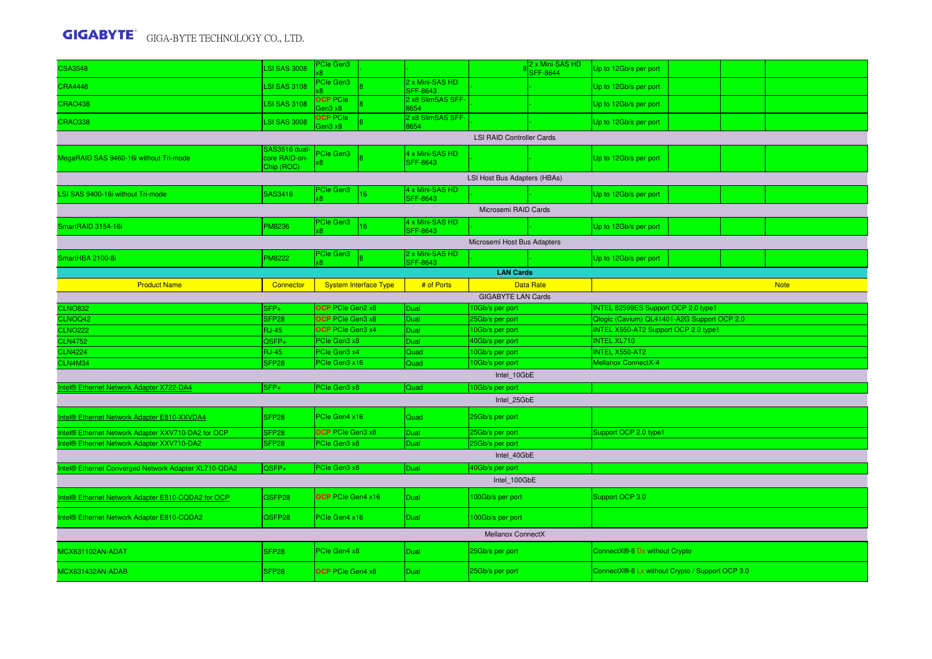| <b>CSA3548</b>                                       | LSI SAS 3008                                 | PCIe Gen3                  |                              |                                    |                                                         | 2 x Mini-SAS HD<br><b>SFF-8644</b> | Up to 12Gb/s per port                           |  |  |  |  |
|------------------------------------------------------|----------------------------------------------|----------------------------|------------------------------|------------------------------------|---------------------------------------------------------|------------------------------------|-------------------------------------------------|--|--|--|--|
| <b>CRA4448</b>                                       | <b>LSI SAS 3108</b>                          | PCIe Gen3                  |                              | 2 x Mini-SAS HD<br><b>SFF-8643</b> |                                                         |                                    | Up to 12Gb/s per port                           |  |  |  |  |
| <b>CRAO438</b>                                       | <b>LSI SAS 3108</b>                          | <b>OCP</b> PCIe<br>Gen3 x8 |                              | 2 x8 SlimSAS SFF-<br>8654          |                                                         |                                    | Up to 12Gb/s per port                           |  |  |  |  |
| <b>CRAO338</b>                                       | <b>LSI SAS 3008</b>                          | <b>OCP PCIe</b><br>en3 x8  |                              | 2 x8 SlimSAS SFF-<br>3654          |                                                         |                                    | Up to 12Gb/s per port                           |  |  |  |  |
|                                                      |                                              |                            |                              |                                    | <b>LSI RAID Controller Cards</b>                        |                                    |                                                 |  |  |  |  |
| MegaRAID SAS 9460-16i without Tri-mode               | SAS3516 dual-<br>core RAID-on-<br>Chip (ROC) | <sup>P</sup> Cle Gen3      |                              | 4 x Mini-SAS HD<br><b>SFF-8643</b> |                                                         |                                    | Up to 12Gb/s per port                           |  |  |  |  |
|                                                      |                                              |                            |                              |                                    | LSI Host Bus Adapters (HBAs)                            |                                    |                                                 |  |  |  |  |
| LSI SAS 9400-16i without Tri-mode                    | SAS3416                                      | PCIe Gen3<br>ß.            | 16                           | 4 x Mini-SAS HD<br><b>SFF-8643</b> |                                                         |                                    | Up to 12Gb/s per port                           |  |  |  |  |
|                                                      |                                              |                            |                              |                                    | Microsemi RAID Cards                                    |                                    |                                                 |  |  |  |  |
| SmartRAID 3154-16i                                   | <b>PM8236</b>                                | <b>PCIe Gen3</b><br>æ.     | 16                           | 4 x Mini-SAS HD<br><b>SFF-8643</b> |                                                         |                                    | Up to 12Gb/s per port                           |  |  |  |  |
|                                                      |                                              |                            |                              |                                    | Microsemi Host Bus Adapters                             |                                    |                                                 |  |  |  |  |
| SmartHBA 2100-8i                                     | <b>PM8222</b>                                | PCIe Gen3<br>œ.            |                              | 2 x Mini-SAS HD<br>SFF-8643        |                                                         |                                    | Up to 12Gb/s per port                           |  |  |  |  |
|                                                      |                                              |                            |                              |                                    | <b>LAN Cards</b>                                        |                                    |                                                 |  |  |  |  |
| <b>Product Name</b>                                  | Connector                                    |                            | <b>System Interface Type</b> | # of Ports                         |                                                         | <b>Data Rate</b>                   | <b>Note</b>                                     |  |  |  |  |
|                                                      |                                              |                            |                              |                                    | <b>GIGABYTE LAN Cards</b>                               |                                    |                                                 |  |  |  |  |
| <b>CLNO832</b>                                       | SFP+                                         | OCP PCIe Gen2 x8           |                              | Dual                               | 10Gb/s per port                                         |                                    | INTEL 82599ES Support OCP 2.0 type1             |  |  |  |  |
| CLNOQ42                                              | SFP <sub>28</sub>                            | OCP PCIe Gen3 x8           |                              | Dual                               | 25Gb/s per port                                         |                                    | Qlogic (Cavium) QL41401-A2G Support OCP 2.0     |  |  |  |  |
| <b>CLNO222</b>                                       | <b>RJ-45</b>                                 | OCP PCIe Gen3 x4           |                              | Dual                               | INTEL X550-AT2 Support OCP 2.0 type1<br>10Gb/s per port |                                    |                                                 |  |  |  |  |
| <b>CLN4752</b>                                       | QSFP+                                        | PCIe Gen3 x8               |                              | Dual                               | 40Gb/s per port                                         |                                    | <b>INTEL XL710</b>                              |  |  |  |  |
| <b>CLN4224</b>                                       | <b>RJ-45</b>                                 | PCIe Gen3 x4               |                              | Quad                               | <b>INTEL X550-AT2</b><br>10Gb/s per port                |                                    |                                                 |  |  |  |  |
| CLN4M34                                              | SFP <sub>28</sub>                            | <sup>P</sup> Cle Gen3 x16  |                              | Quad                               | 10Gb/s per port                                         |                                    | Mellanox ConnectX-4                             |  |  |  |  |
|                                                      |                                              |                            |                              |                                    | Intel 10GbE                                             |                                    |                                                 |  |  |  |  |
| ntel <sup>®</sup> Ethernet Network Adapter X722-DA4  | $SFP+$                                       | <b>PCIe Gen3 x8</b>        |                              | Quad                               | 10Gb/s per port                                         |                                    |                                                 |  |  |  |  |
|                                                      |                                              |                            |                              |                                    | Intel 25GbE                                             |                                    |                                                 |  |  |  |  |
| Intel® Ethernet Network Adapter E810-XXVDA4          | SFP <sub>28</sub>                            | PCle Gen4 x16              |                              | Quad                               | 25Gb/s per port                                         |                                    |                                                 |  |  |  |  |
| Intel® Ethernet Network Adapter XXV710-DA2 for OCP   | SFP <sub>28</sub>                            | OCP PCIe Gen3 x8           |                              | <b>Dual</b>                        | 25Gb/s per port                                         |                                    | Support OCP 2.0 type1                           |  |  |  |  |
| Intel® Ethernet Network Adapter XXV710-DA2           | SFP <sub>28</sub>                            | <sup>O</sup> Cle Gen3 x8   |                              | Dual                               | 25Gb/s per port                                         |                                    |                                                 |  |  |  |  |
|                                                      |                                              |                            |                              |                                    | Intel 40GbE                                             |                                    |                                                 |  |  |  |  |
| Intel® Ethernet Converged Network Adapter XL710-QDA2 | QSFP+                                        | <b>PCIe Gen3 x8</b>        |                              | Dual                               | 40Gb/s per port                                         |                                    |                                                 |  |  |  |  |
|                                                      |                                              |                            |                              |                                    | Intel 100GbE                                            |                                    |                                                 |  |  |  |  |
| Intel® Ethernet Network Adapter E810-CQDA2 for OCP   | QSFP28                                       | OCP PCIe Gen4 x16          |                              | Dual                               | 100Gb/s per port                                        |                                    | Support OCP 3.0                                 |  |  |  |  |
| Intel® Ethernet Network Adapter E810-CQDA2           | QSFP28                                       | PCIe Gen4 x16              |                              | <b>Dual</b>                        | 100Gb/s per port                                        |                                    |                                                 |  |  |  |  |
|                                                      |                                              |                            |                              |                                    | <b>Mellanox ConnectX</b>                                |                                    |                                                 |  |  |  |  |
| MCX631102AN-ADAT                                     | SFP28                                        | PCIe Gen4 x8               |                              | Dual                               | 25Gb/s per port                                         |                                    | ConnectX <sup>®</sup> -6 Dx without Crypto      |  |  |  |  |
| MCX631432AN-ADAB                                     | SFP <sub>28</sub>                            | <b>OCP</b> PCIe Gen4 x8    |                              | Dual                               | 25Gb/s per port                                         |                                    | ConnectX®-6 Lx without Crypto / Support OCP 3.0 |  |  |  |  |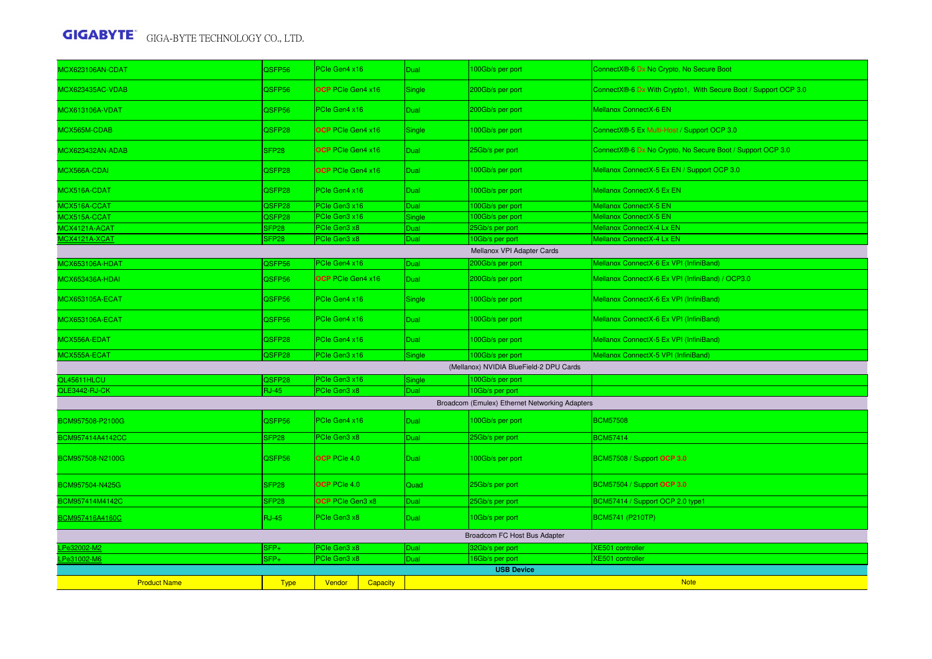| <b>MCX623106AN-CDAT</b> | QSFP56            | PCIe Gen4 x16             | Dual        | 00Gb/s per port                                | ConnectX®-6 Dx No Crypto, No Secure Boot                        |  |  |
|-------------------------|-------------------|---------------------------|-------------|------------------------------------------------|-----------------------------------------------------------------|--|--|
| <b>MCX623435AC-VDAB</b> | QSFP56            | OCP PCIe Gen4 x16         | Single      | 200Gb/s per port                               | ConnectX®-6 Dx With Crypto1, With Secure Boot / Support OCP 3.0 |  |  |
| <b>MCX613106A-VDAT</b>  | QSFP56            | PCIe Gen4 x16             | Dual        | 200Gb/s per port                               | <b>Mellanox ConnectX-6 EN</b>                                   |  |  |
| MCX565M-CDAB            | QSFP28            | <b>OCP</b> PCIe Gen4 x16  | Single      | 100Gb/s per port                               | ConnectX®-5 Ex Multi-Host / Support OCP 3.0                     |  |  |
| MCX623432AN-ADAB        | SFP <sub>28</sub> | OCP PCIe Gen4 x16         | Dual        | 25Gb/s per port                                | ConnectX®-6 Dx No Crypto, No Secure Boot / Support OCP 3.0      |  |  |
| MCX566A-CDAI            | QSFP28            | <b>OCP</b> PCIe Gen4 x16  | <b>Dual</b> | 100Gb/s per port                               | Mellanox ConnectX-5 Ex EN / Support OCP 3.0                     |  |  |
| MCX516A-CDAT            | QSFP28            | PCIe Gen4 x16             | Dual        | 100Gb/s per port                               | Mellanox ConnectX-5 Ex EN                                       |  |  |
| MCX516A-CCAT            | QSFP28            | PCIe Gen3 x16             | <b>Dual</b> | 100Gb/s per port                               | Mellanox ConnectX-5 EN                                          |  |  |
| MCX515A-CCAT            | QSFP28            | PCIe Gen3 x16             | Single      | 00Gb/s per port                                | Mellanox ConnectX-5 EN                                          |  |  |
| MCX4121A-ACAT           | SFP <sub>28</sub> | PCIe Gen3 x8              | Dual        | 25Gb/s per port                                | Mellanox ConnectX-4 Lx EN                                       |  |  |
| <b>MCX4121A-XCAT</b>    | SFP <sub>28</sub> | PCIe Gen3 x8              | Dual        | 0Gb/s per port                                 | Mellanox ConnectX-4 Lx EN                                       |  |  |
|                         |                   |                           |             |                                                |                                                                 |  |  |
|                         |                   |                           |             | Mellanox VPI Adapter Cards                     |                                                                 |  |  |
| MCX653106A-HDAT         | QSFP56            | PCIe Gen4 x16             | Dual        | 200Gb/s per port                               | Mellanox ConnectX-6 Ex VPI (InfiniBand)                         |  |  |
| MCX653436A-HDAI         | QSFP56            | <b>OCP</b> PCIe Gen4 x16  | Dual        | 200Gb/s per port                               | Mellanox ConnectX-6 Ex VPI (InfiniBand) / OCP3.0                |  |  |
| <b>MCX653105A-ECAT</b>  | QSFP56            | PCIe Gen4 x16             | Single      | 100Gb/s per port                               | Mellanox ConnectX-6 Ex VPI (InfiniBand)                         |  |  |
| <b>MCX653106A-ECAT</b>  | QSFP56            | PCIe Gen4 x16             | Dual        | 100Gb/s per port                               | Mellanox ConnectX-6 Ex VPI (InfiniBand)                         |  |  |
| MCX556A-EDAT            | QSFP28            | PCIe Gen4 x16             | Dual        | 100Gb/s per port                               | Mellanox ConnectX-5 Ex VPI (InfiniBand)                         |  |  |
| MCX555A-ECAT            | QSFP28            | PCIe Gen3 x16             | Single      | 100Gb/s per port                               | Mellanox ConnectX-5 VPI (InfiniBand)                            |  |  |
|                         |                   |                           |             | (Mellanox) NVIDIA BlueField-2 DPU Cards        |                                                                 |  |  |
| QL45611HLCU             | QSFP28            | PCIe Gen3 x16             | Single      | 100Gb/s per port                               |                                                                 |  |  |
| QLE3442-RJ-CK           | <b>RJ-45</b>      | PCIe Gen3 x8              | Dual        | 10Gb/s per port                                |                                                                 |  |  |
|                         |                   |                           |             |                                                |                                                                 |  |  |
|                         |                   |                           |             | Broadcom (Emulex) Ethernet Networking Adapters |                                                                 |  |  |
| BCM957508-P2100G        | QSFP56            | PCIe Gen4 x16             | Dual        | 100Gb/s per port                               | <b>BCM57508</b>                                                 |  |  |
| BCM957414A4142CC        | SFP <sub>28</sub> | PCIe Gen3 x8              | Dual        | 25Gb/s per port                                | <b>BCM57414</b>                                                 |  |  |
| BCM957508-N2100G        | QSFP56            | <b>OCP</b> PCIe 4.0       | Dual        | 100Gb/s per port                               | BCM57508 / Support OCP 3.0                                      |  |  |
| BCM957504-N425G         | SFP <sub>28</sub> | <b>OCP</b> PCIe 4.0       | Quad        | 25Gb/s per port                                | BCM57504 / Support OCP 3.0                                      |  |  |
| BCM957414M4142C         | SFP <sub>28</sub> | OCP PCIe Gen3 x8          | Dual        | 25Gb/s per port                                | BCM57414 / Support OCP 2.0 type1                                |  |  |
| BCM957416A4160C         | <b>RJ-45</b>      | PCIe Gen3 x8              | Dual        | 10Gb/s per port                                | BCM5741 (P210TP)                                                |  |  |
|                         |                   |                           |             | Broadcom FC Host Bus Adapter                   |                                                                 |  |  |
| Pe32002-M2              | SFP+              | PCIe Gen3 x8              | Dual        | 32Gb/s per port                                | <b>XE501</b> controller                                         |  |  |
| Pe31002-M6              | $SFP+$            | PCIe Gen3 x8              | Dual        | 6Gb/s per port                                 | XE501 controller                                                |  |  |
|                         |                   |                           |             | <b>USB Device</b>                              |                                                                 |  |  |
| <b>Product Name</b>     | <b>Type</b>       | Vendor<br><b>Capacity</b> |             |                                                | <b>Note</b>                                                     |  |  |
|                         |                   |                           |             |                                                |                                                                 |  |  |